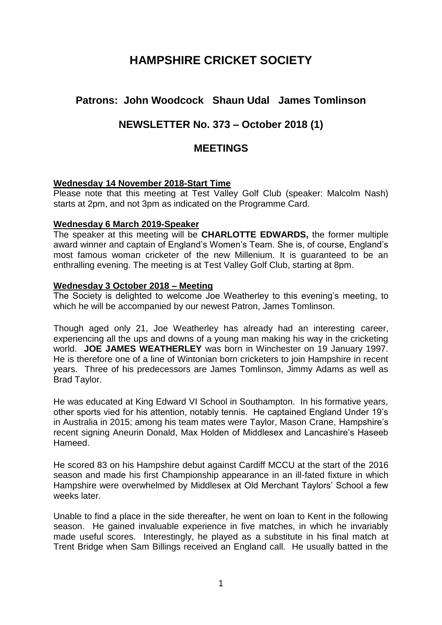# **HAMPSHIRE CRICKET SOCIETY**

# **Patrons: John Woodcock Shaun Udal James Tomlinson**

# **NEWSLETTER No. 373 – October 2018 (1)**

# **MEETINGS**

## **Wednesday 14 November 2018-Start Time**

Please note that this meeting at Test Valley Golf Club (speaker: Malcolm Nash) starts at 2pm, and not 3pm as indicated on the Programme Card.

#### **Wednesday 6 March 2019-Speaker**

The speaker at this meeting will be **CHARLOTTE EDWARDS,** the former multiple award winner and captain of England's Women's Team. She is, of course, England's most famous woman cricketer of the new Millenium. It is guaranteed to be an enthralling evening. The meeting is at Test Valley Golf Club, starting at 8pm.

#### **Wednesday 3 October 2018 – Meeting**

The Society is delighted to welcome Joe Weatherley to this evening's meeting, to which he will be accompanied by our newest Patron, James Tomlinson.

Though aged only 21, Joe Weatherley has already had an interesting career, experiencing all the ups and downs of a young man making his way in the cricketing world. **JOE JAMES WEATHERLEY** was born in Winchester on 19 January 1997. He is therefore one of a line of Wintonian born cricketers to join Hampshire in recent years. Three of his predecessors are James Tomlinson, Jimmy Adams as well as Brad Taylor.

He was educated at King Edward VI School in Southampton. In his formative years, other sports vied for his attention, notably tennis. He captained England Under 19's in Australia in 2015; among his team mates were Taylor, Mason Crane, Hampshire's recent signing Aneurin Donald, Max Holden of Middlesex and Lancashire's Haseeb Hameed.

He scored 83 on his Hampshire debut against Cardiff MCCU at the start of the 2016 season and made his first Championship appearance in an ill-fated fixture in which Hampshire were overwhelmed by Middlesex at Old Merchant Taylors' School a few weeks later.

Unable to find a place in the side thereafter, he went on loan to Kent in the following season. He gained invaluable experience in five matches, in which he invariably made useful scores. Interestingly, he played as a substitute in his final match at Trent Bridge when Sam Billings received an England call. He usually batted in the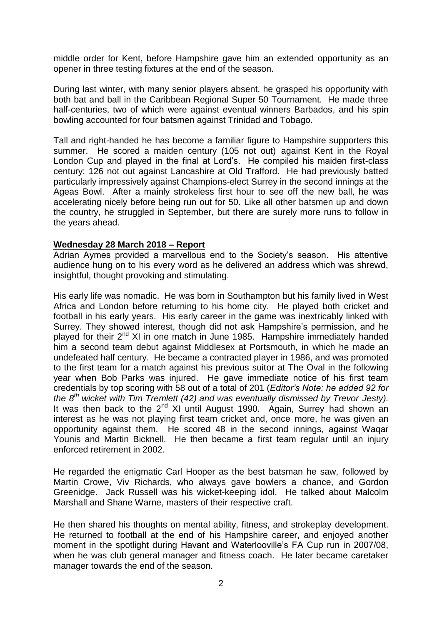middle order for Kent, before Hampshire gave him an extended opportunity as an opener in three testing fixtures at the end of the season.

During last winter, with many senior players absent, he grasped his opportunity with both bat and ball in the Caribbean Regional Super 50 Tournament. He made three half-centuries, two of which were against eventual winners Barbados, and his spin bowling accounted for four batsmen against Trinidad and Tobago.

Tall and right-handed he has become a familiar figure to Hampshire supporters this summer. He scored a maiden century (105 not out) against Kent in the Royal London Cup and played in the final at Lord's. He compiled his maiden first-class century: 126 not out against Lancashire at Old Trafford. He had previously batted particularly impressively against Champions-elect Surrey in the second innings at the Ageas Bowl. After a mainly strokeless first hour to see off the new ball, he was accelerating nicely before being run out for 50. Like all other batsmen up and down the country, he struggled in September, but there are surely more runs to follow in the years ahead.

#### **Wednesday 28 March 2018 – Report**

Adrian Aymes provided a marvellous end to the Society's season. His attentive audience hung on to his every word as he delivered an address which was shrewd, insightful, thought provoking and stimulating.

His early life was nomadic. He was born in Southampton but his family lived in West Africa and London before returning to his home city. He played both cricket and football in his early years. His early career in the game was inextricably linked with Surrey. They showed interest, though did not ask Hampshire's permission, and he played for their 2<sup>nd</sup> XI in one match in June 1985. Hampshire immediately handed him a second team debut against Middlesex at Portsmouth, in which he made an undefeated half century. He became a contracted player in 1986, and was promoted to the first team for a match against his previous suitor at The Oval in the following year when Bob Parks was injured. He gave immediate notice of his first team credentials by top scoring with 58 out of a total of 201 (*Editor's Note: he added 92 for the 8 th wicket with Tim Tremlett (42) and was eventually dismissed by Trevor Jesty).*  It was then back to the  $2^{nd}$  XI until August 1990. Again, Surrey had shown an interest as he was not playing first team cricket and, once more, he was given an opportunity against them. He scored 48 in the second innings, against Waqar Younis and Martin Bicknell. He then became a first team regular until an injury enforced retirement in 2002.

He regarded the enigmatic Carl Hooper as the best batsman he saw, followed by Martin Crowe, Viv Richards, who always gave bowlers a chance, and Gordon Greenidge. Jack Russell was his wicket-keeping idol. He talked about Malcolm Marshall and Shane Warne, masters of their respective craft.

He then shared his thoughts on mental ability, fitness, and strokeplay development. He returned to football at the end of his Hampshire career, and enjoyed another moment in the spotlight during Havant and Waterlooville's FA Cup run in 2007/08, when he was club general manager and fitness coach. He later became caretaker manager towards the end of the season.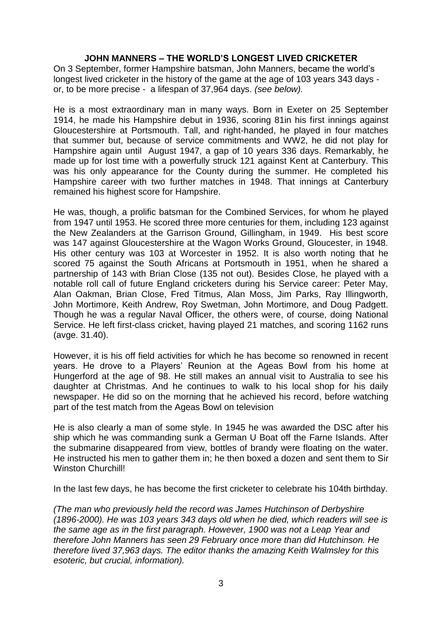#### **JOHN MANNERS – THE WORLD'S LONGEST LIVED CRICKETER**

On 3 September, former Hampshire batsman, John Manners, became the world's longest lived cricketer in the history of the game at the age of 103 years 343 days or, to be more precise - a lifespan of 37,964 days. *(see below).*

He is a most extraordinary man in many ways. Born in Exeter on 25 September 1914, he made his Hampshire debut in 1936, scoring 81in his first innings against Gloucestershire at Portsmouth. Tall, and right-handed, he played in four matches that summer but, because of service commitments and WW2, he did not play for Hampshire again until August 1947, a gap of 10 years 336 days. Remarkably, he made up for lost time with a powerfully struck 121 against Kent at Canterbury. This was his only appearance for the County during the summer. He completed his Hampshire career with two further matches in 1948. That innings at Canterbury remained his highest score for Hampshire.

He was, though, a prolific batsman for the Combined Services, for whom he played from 1947 until 1953. He scored three more centuries for them, including 123 against the New Zealanders at the Garrison Ground, Gillingham, in 1949. His best score was 147 against Gloucestershire at the Wagon Works Ground, Gloucester, in 1948. His other century was 103 at Worcester in 1952. It is also worth noting that he scored 75 against the South Africans at Portsmouth in 1951, when he shared a partnership of 143 with Brian Close (135 not out). Besides Close, he played with a notable roll call of future England cricketers during his Service career: Peter May, Alan Oakman, Brian Close, Fred Titmus, Alan Moss, Jim Parks, Ray Illingworth, John Mortimore, Keith Andrew, Roy Swetman, John Mortimore, and Doug Padgett. Though he was a regular Naval Officer, the others were, of course, doing National Service. He left first-class cricket, having played 21 matches, and scoring 1162 runs (avge. 31.40).

However, it is his off field activities for which he has become so renowned in recent years. He drove to a Players' Reunion at the Ageas Bowl from his home at Hungerford at the age of 98. He still makes an annual visit to Australia to see his daughter at Christmas. And he continues to walk to his local shop for his daily newspaper. He did so on the morning that he achieved his record, before watching part of the test match from the Ageas Bowl on television

He is also clearly a man of some style. In 1945 he was awarded the DSC after his ship which he was commanding sunk a German U Boat off the Farne Islands. After the submarine disappeared from view, bottles of brandy were floating on the water. He instructed his men to gather them in; he then boxed a dozen and sent them to Sir Winston Churchill!

In the last few days, he has become the first cricketer to celebrate his 104th birthday.

*(The man who previously held the record was James Hutchinson of Derbyshire (1896-2000). He was 103 years 343 days old when he died, which readers will see is the same age as in the first paragraph. However, 1900 was not a Leap Year and therefore John Manners has seen 29 February once more than did Hutchinson. He therefore lived 37,963 days. The editor thanks the amazing Keith Walmsley for this esoteric, but crucial, information).*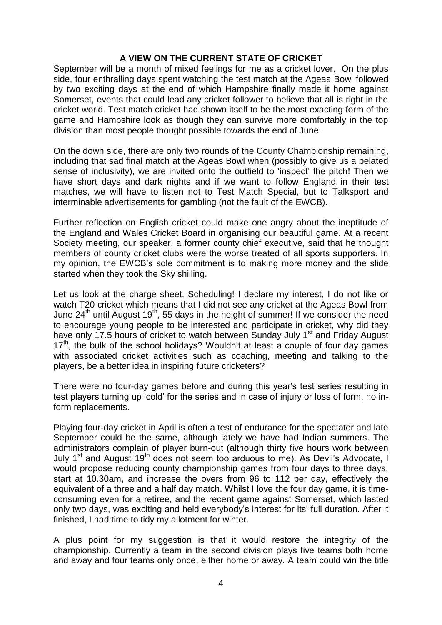# **A VIEW ON THE CURRENT STATE OF CRICKET**

September will be a month of mixed feelings for me as a cricket lover. On the plus side, four enthralling days spent watching the test match at the Ageas Bowl followed by two exciting days at the end of which Hampshire finally made it home against Somerset, events that could lead any cricket follower to believe that all is right in the cricket world. Test match cricket had shown itself to be the most exacting form of the game and Hampshire look as though they can survive more comfortably in the top division than most people thought possible towards the end of June.

On the down side, there are only two rounds of the County Championship remaining, including that sad final match at the Ageas Bowl when (possibly to give us a belated sense of inclusivity), we are invited onto the outfield to 'inspect' the pitch! Then we have short days and dark nights and if we want to follow England in their test matches, we will have to listen not to Test Match Special, but to Talksport and interminable advertisements for gambling (not the fault of the EWCB).

Further reflection on English cricket could make one angry about the ineptitude of the England and Wales Cricket Board in organising our beautiful game. At a recent Society meeting, our speaker, a former county chief executive, said that he thought members of county cricket clubs were the worse treated of all sports supporters. In my opinion, the EWCB's sole commitment is to making more money and the slide started when they took the Sky shilling.

Let us look at the charge sheet. Scheduling! I declare my interest, I do not like or watch T20 cricket which means that I did not see any cricket at the Ageas Bowl from June  $24<sup>th</sup>$  until August 19<sup>th</sup>, 55 days in the height of summer! If we consider the need to encourage young people to be interested and participate in cricket, why did they have only 17.5 hours of cricket to watch between Sunday July 1<sup>st</sup> and Friday August  $17<sup>th</sup>$ , the bulk of the school holidays? Wouldn't at least a couple of four day games with associated cricket activities such as coaching, meeting and talking to the players, be a better idea in inspiring future cricketers?

There were no four-day games before and during this year's test series resulting in test players turning up 'cold' for the series and in case of injury or loss of form, no inform replacements.

Playing four-day cricket in April is often a test of endurance for the spectator and late September could be the same, although lately we have had Indian summers. The administrators complain of player burn-out (although thirty five hours work between July  $1<sup>st</sup>$  and August  $19<sup>th</sup>$  does not seem too arduous to me). As Devil's Advocate, I would propose reducing county championship games from four days to three days, start at 10.30am, and increase the overs from 96 to 112 per day, effectively the equivalent of a three and a half day match. Whilst I love the four day game, it is timeconsuming even for a retiree, and the recent game against Somerset, which lasted only two days, was exciting and held everybody's interest for its' full duration. After it finished, I had time to tidy my allotment for winter.

A plus point for my suggestion is that it would restore the integrity of the championship. Currently a team in the second division plays five teams both home and away and four teams only once, either home or away. A team could win the title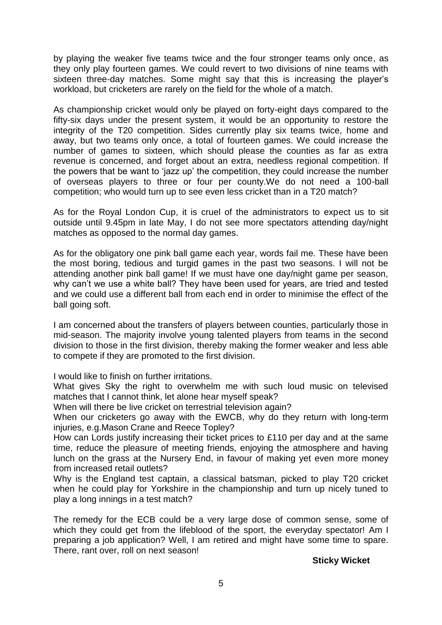by playing the weaker five teams twice and the four stronger teams only once, as they only play fourteen games. We could revert to two divisions of nine teams with sixteen three-day matches. Some might say that this is increasing the player's workload, but cricketers are rarely on the field for the whole of a match.

As championship cricket would only be played on forty-eight days compared to the fifty-six days under the present system, it would be an opportunity to restore the integrity of the T20 competition. Sides currently play six teams twice, home and away, but two teams only once, a total of fourteen games. We could increase the number of games to sixteen, which should please the counties as far as extra revenue is concerned, and forget about an extra, needless regional competition. If the powers that be want to 'jazz up' the competition, they could increase the number of overseas players to three or four per county.We do not need a 100-ball competition; who would turn up to see even less cricket than in a T20 match?

As for the Royal London Cup, it is cruel of the administrators to expect us to sit outside until 9.45pm in late May, I do not see more spectators attending day/night matches as opposed to the normal day games.

As for the obligatory one pink ball game each year, words fail me. These have been the most boring, tedious and turgid games in the past two seasons. I will not be attending another pink ball game! If we must have one day/night game per season, why can't we use a white ball? They have been used for years, are tried and tested and we could use a different ball from each end in order to minimise the effect of the ball going soft.

I am concerned about the transfers of players between counties, particularly those in mid-season. The majority involve young talented players from teams in the second division to those in the first division, thereby making the former weaker and less able to compete if they are promoted to the first division.

I would like to finish on further irritations.

What gives Sky the right to overwhelm me with such loud music on televised matches that I cannot think, let alone hear myself speak?

When will there be live cricket on terrestrial television again?

When our cricketers go away with the EWCB, why do they return with long-term injuries, e.g.Mason Crane and Reece Topley?

How can Lords justify increasing their ticket prices to £110 per day and at the same time, reduce the pleasure of meeting friends, enjoying the atmosphere and having lunch on the grass at the Nursery End, in favour of making yet even more money from increased retail outlets?

Why is the England test captain, a classical batsman, picked to play T20 cricket when he could play for Yorkshire in the championship and turn up nicely tuned to play a long innings in a test match?

The remedy for the ECB could be a very large dose of common sense, some of which they could get from the lifeblood of the sport, the everyday spectator! Am I preparing a job application? Well, I am retired and might have some time to spare. There, rant over, roll on next season!

## **Sticky Wicket**